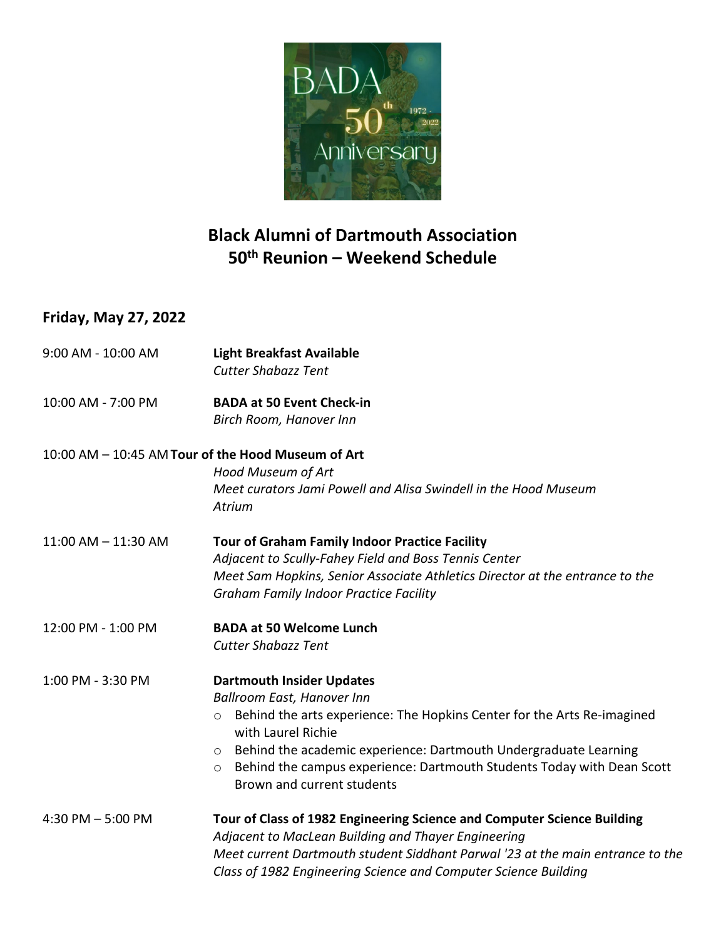

# **Black Alumni of Dartmouth Association 50th Reunion – Weekend Schedule**

### **Friday, May 27, 2022**

| 9:00 AM - 10:00 AM      | <b>Light Breakfast Available</b><br><b>Cutter Shabazz Tent</b>                                                                                                                                                                                                                                                                                                                      |
|-------------------------|-------------------------------------------------------------------------------------------------------------------------------------------------------------------------------------------------------------------------------------------------------------------------------------------------------------------------------------------------------------------------------------|
| 10:00 AM - 7:00 PM      | <b>BADA at 50 Event Check-in</b><br>Birch Room, Hanover Inn                                                                                                                                                                                                                                                                                                                         |
|                         | 10:00 AM - 10:45 AM Tour of the Hood Museum of Art                                                                                                                                                                                                                                                                                                                                  |
|                         | Hood Museum of Art<br>Meet curators Jami Powell and Alisa Swindell in the Hood Museum<br>Atrium                                                                                                                                                                                                                                                                                     |
| $11:00$ AM $- 11:30$ AM | <b>Tour of Graham Family Indoor Practice Facility</b><br>Adjacent to Scully-Fahey Field and Boss Tennis Center<br>Meet Sam Hopkins, Senior Associate Athletics Director at the entrance to the<br><b>Graham Family Indoor Practice Facility</b>                                                                                                                                     |
| 12:00 PM - 1:00 PM      | <b>BADA at 50 Welcome Lunch</b><br><b>Cutter Shabazz Tent</b>                                                                                                                                                                                                                                                                                                                       |
| 1:00 PM - 3:30 PM       | <b>Dartmouth Insider Updates</b><br><b>Ballroom East, Hanover Inn</b><br>Behind the arts experience: The Hopkins Center for the Arts Re-imagined<br>$\circ$<br>with Laurel Richie<br>Behind the academic experience: Dartmouth Undergraduate Learning<br>$\circ$<br>Behind the campus experience: Dartmouth Students Today with Dean Scott<br>$\circ$<br>Brown and current students |
| 4:30 PM $-5:00$ PM      | Tour of Class of 1982 Engineering Science and Computer Science Building<br>Adjacent to MacLean Building and Thayer Engineering<br>Meet current Dartmouth student Siddhant Parwal '23 at the main entrance to the<br>Class of 1982 Engineering Science and Computer Science Building                                                                                                 |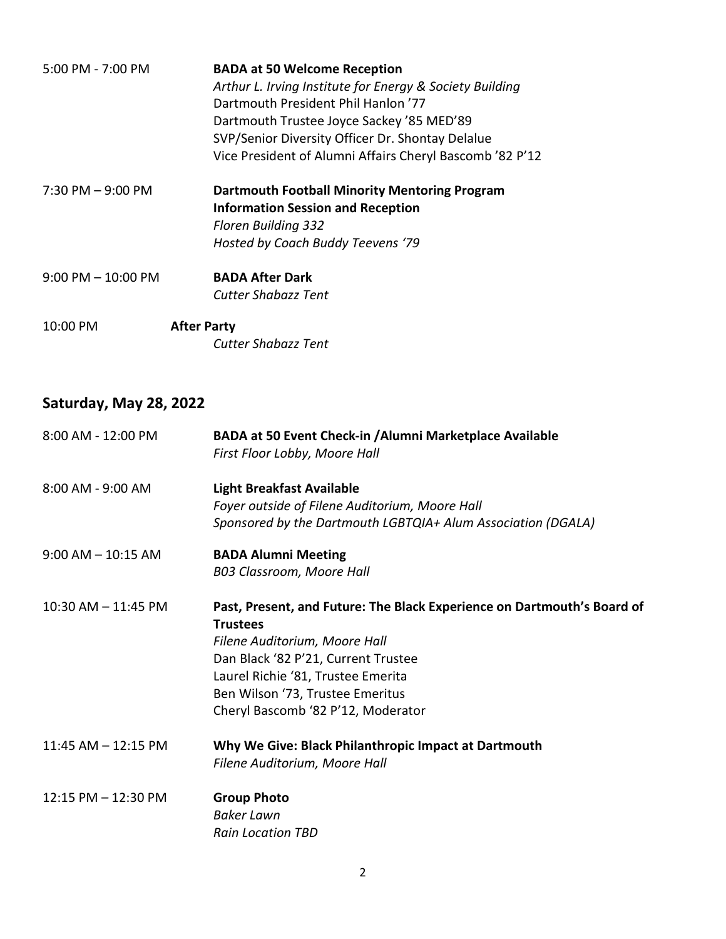| 5:00 PM - 7:00 PM     | <b>BADA at 50 Welcome Reception</b>                      |
|-----------------------|----------------------------------------------------------|
|                       | Arthur L. Irving Institute for Energy & Society Building |
|                       | Dartmouth President Phil Hanlon '77                      |
|                       | Dartmouth Trustee Joyce Sackey '85 MED'89                |
|                       | SVP/Senior Diversity Officer Dr. Shontay Delalue         |
|                       | Vice President of Alumni Affairs Cheryl Bascomb '82 P'12 |
| $7:30$ PM $-9:00$ PM  | <b>Dartmouth Football Minority Mentoring Program</b>     |
|                       | <b>Information Session and Reception</b>                 |
|                       | Floren Building 332                                      |
|                       | Hosted by Coach Buddy Teevens '79                        |
| $9:00$ PM $-10:00$ PM | <b>BADA After Dark</b>                                   |
|                       | <b>Cutter Shabazz Tent</b>                               |
| $10:00 \text{ PM}$    | <b>After Party</b>                                       |
|                       | <b>Cutter Shabazz Tent</b>                               |

# **Saturday, May 28, 2022**

| 8:00 AM - 12:00 PM      | <b>BADA at 50 Event Check-in / Alumni Marketplace Available</b><br>First Floor Lobby, Moore Hall                                                                                                                                                                                   |
|-------------------------|------------------------------------------------------------------------------------------------------------------------------------------------------------------------------------------------------------------------------------------------------------------------------------|
| 8:00 AM - 9:00 AM       | <b>Light Breakfast Available</b><br>Foyer outside of Filene Auditorium, Moore Hall                                                                                                                                                                                                 |
|                         | Sponsored by the Dartmouth LGBTQIA+ Alum Association (DGALA)                                                                                                                                                                                                                       |
| $9:00$ AM $-$ 10:15 AM  | <b>BADA Alumni Meeting</b>                                                                                                                                                                                                                                                         |
|                         | B03 Classroom, Moore Hall                                                                                                                                                                                                                                                          |
| $10:30$ AM $- 11:45$ PM | Past, Present, and Future: The Black Experience on Dartmouth's Board of<br><b>Trustees</b><br>Filene Auditorium, Moore Hall<br>Dan Black '82 P'21, Current Trustee<br>Laurel Richie '81, Trustee Emerita<br>Ben Wilson '73, Trustee Emeritus<br>Cheryl Bascomb '82 P'12, Moderator |
| 11:45 AM - 12:15 PM     | Why We Give: Black Philanthropic Impact at Dartmouth<br>Filene Auditorium, Moore Hall                                                                                                                                                                                              |
| 12:15 PM - 12:30 PM     | <b>Group Photo</b><br><b>Baker Lawn</b><br><b>Rain Location TBD</b>                                                                                                                                                                                                                |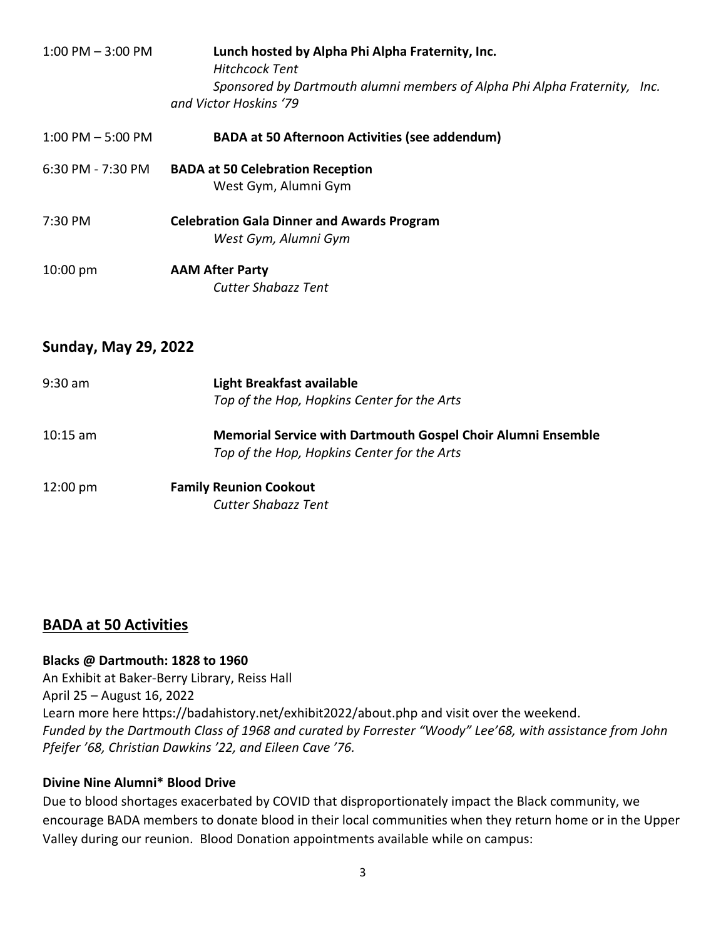| $1:00$ PM $-3:00$ PM | Lunch hosted by Alpha Phi Alpha Fraternity, Inc.<br><b>Hitchcock Tent</b><br>Sponsored by Dartmouth alumni members of Alpha Phi Alpha Fraternity, Inc.<br>and Victor Hoskins '79 |  |
|----------------------|----------------------------------------------------------------------------------------------------------------------------------------------------------------------------------|--|
| $1:00$ PM $-5:00$ PM | <b>BADA at 50 Afternoon Activities (see addendum)</b>                                                                                                                            |  |
| 6:30 PM - 7:30 PM    | <b>BADA at 50 Celebration Reception</b><br>West Gym, Alumni Gym                                                                                                                  |  |
| 7:30 PM              | <b>Celebration Gala Dinner and Awards Program</b><br>West Gym, Alumni Gym                                                                                                        |  |
| $10:00 \text{ pm}$   | <b>AAM After Party</b><br>Cutter Shabazz Tent                                                                                                                                    |  |

### **Sunday, May 29, 2022**

| $9:30$ am          | Light Breakfast available<br>Top of the Hop, Hopkins Center for the Arts                                    |
|--------------------|-------------------------------------------------------------------------------------------------------------|
| $10:15$ am         | Memorial Service with Dartmouth Gospel Choir Alumni Ensemble<br>Top of the Hop, Hopkins Center for the Arts |
| $12:00 \text{ pm}$ | <b>Family Reunion Cookout</b>                                                                               |

*Cutter Shabazz Tent*

### **BADA at 50 Activities**

#### **Blacks @ Dartmouth: 1828 to 1960**

An Exhibit at Baker-Berry Library, Reiss Hall April 25 – August 16, 2022 Learn more here https://badahistory.net/exhibit2022/about.php and visit over the weekend. *Funded by the Dartmouth Class of 1968 and curated by Forrester "Woody" Lee'68, with assistance from John Pfeifer '68, Christian Dawkins '22, and Eileen Cave '76.*

#### **Divine Nine Alumni\* Blood Drive**

Due to blood shortages exacerbated by COVID that disproportionately impact the Black community, we encourage BADA members to donate blood in their local communities when they return home or in the Upper Valley during our reunion. Blood Donation appointments available while on campus: